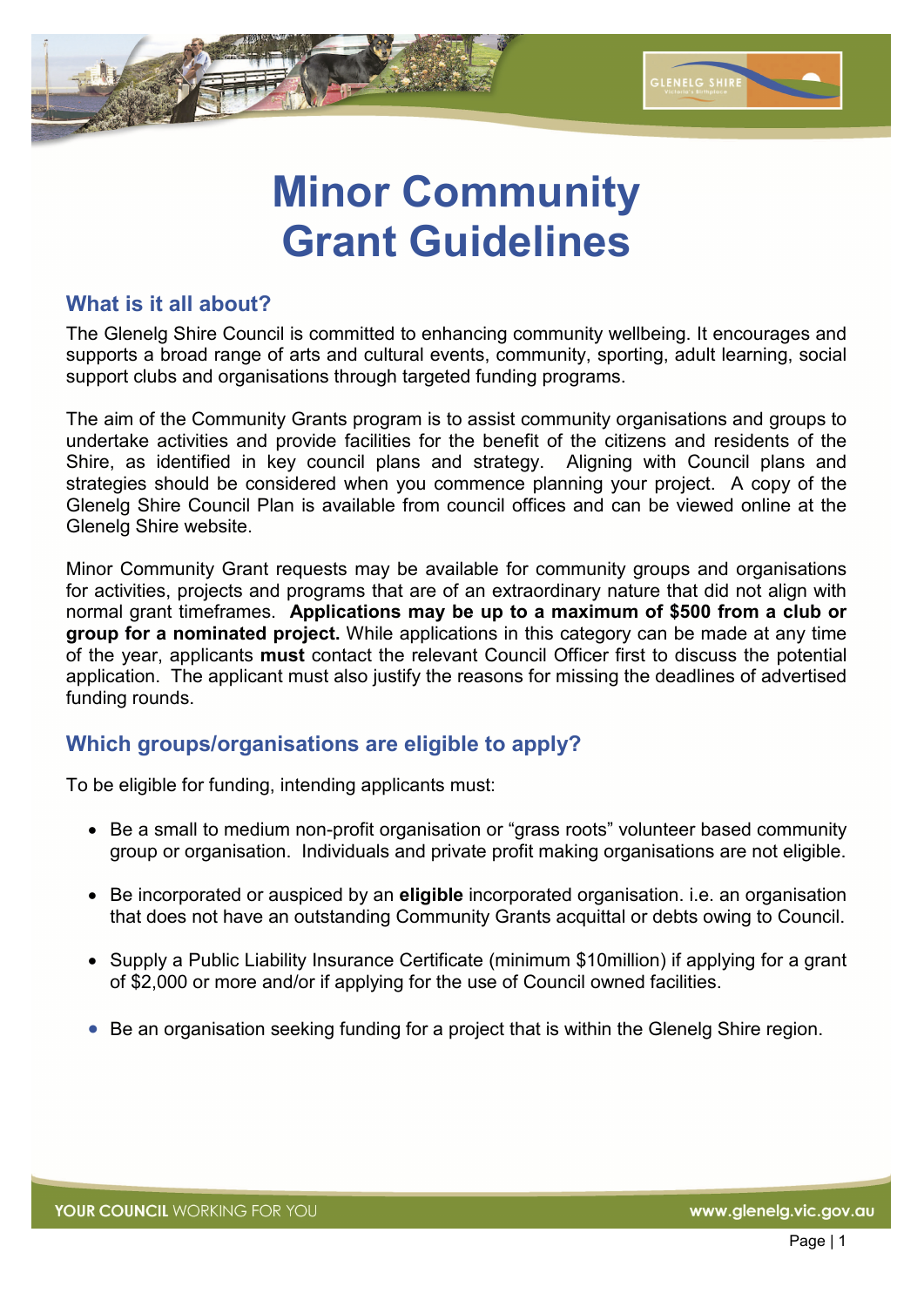

# **Minor Community Grant Guidelines**

### **What is it all about?**

The Glenelg Shire Council is committed to enhancing community wellbeing. It encourages and supports a broad range of arts and cultural events, community, sporting, adult learning, social support clubs and organisations through targeted funding programs.

The aim of the Community Grants program is to assist community organisations and groups to undertake activities and provide facilities for the benefit of the citizens and residents of the Shire, as identified in key council plans and strategy. Aligning with Council plans and strategies should be considered when you commence planning your project. A copy of the Glenelg Shire Council Plan is available from council offices and can be viewed online at the Glenelg Shire website.

Minor Community Grant requests may be available for community groups and organisations for activities, projects and programs that are of an extraordinary nature that did not align with normal grant timeframes. **Applications may be up to a maximum of \$500 from a club or group for a nominated project.** While applications in this category can be made at any time of the year, applicants **must** contact the relevant Council Officer first to discuss the potential application. The applicant must also justify the reasons for missing the deadlines of advertised funding rounds.

### **Which groups/organisations are eligible to apply?**

To be eligible for funding, intending applicants must:

- Be a small to medium non-profit organisation or "grass roots" volunteer based community group or organisation. Individuals and private profit making organisations are not eligible.
- Be incorporated or auspiced by an **eligible** incorporated organisation. i.e. an organisation that does not have an outstanding Community Grants acquittal or debts owing to Council.
- Supply a Public Liability Insurance Certificate (minimum \$10million) if applying for a grant of \$2,000 or more and/or if applying for the use of Council owned facilities.
- Be an organisation seeking funding for a project that is within the Glenelg Shire region.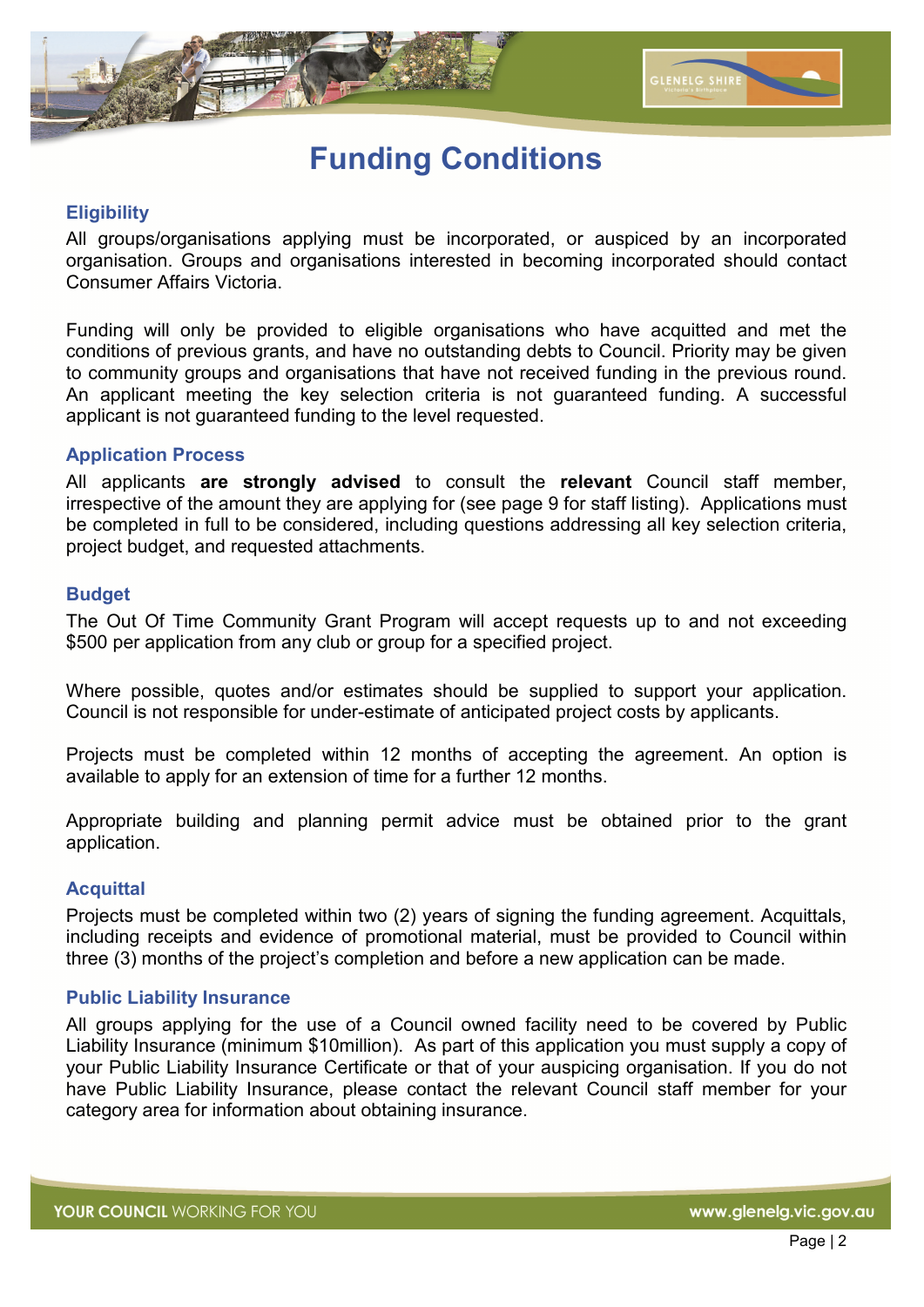

### **Funding Conditions**

#### **Eligibility**

All groups/organisations applying must be incorporated, or auspiced by an incorporated organisation. Groups and organisations interested in becoming incorporated should contact Consumer Affairs Victoria.

Funding will only be provided to eligible organisations who have acquitted and met the conditions of previous grants, and have no outstanding debts to Council. Priority may be given to community groups and organisations that have not received funding in the previous round. An applicant meeting the key selection criteria is not guaranteed funding. A successful applicant is not guaranteed funding to the level requested.

#### **Application Process**

All applicants **are strongly advised** to consult the **relevant** Council staff member, irrespective of the amount they are applying for (see page 9 for staff listing). Applications must be completed in full to be considered, including questions addressing all key selection criteria, project budget, and requested attachments.

#### **Budget**

The Out Of Time Community Grant Program will accept requests up to and not exceeding \$500 per application from any club or group for a specified project.

Where possible, quotes and/or estimates should be supplied to support your application. Council is not responsible for under-estimate of anticipated project costs by applicants.

Projects must be completed within 12 months of accepting the agreement. An option is available to apply for an extension of time for a further 12 months.

Appropriate building and planning permit advice must be obtained prior to the grant application.

#### **Acquittal**

Projects must be completed within two (2) years of signing the funding agreement. Acquittals, including receipts and evidence of promotional material, must be provided to Council within three (3) months of the project's completion and before a new application can be made.

#### **Public Liability Insurance**

All groups applying for the use of a Council owned facility need to be covered by Public Liability Insurance (minimum \$10million). As part of this application you must supply a copy of your Public Liability Insurance Certificate or that of your auspicing organisation. If you do not have Public Liability Insurance, please contact the relevant Council staff member for your category area for information about obtaining insurance.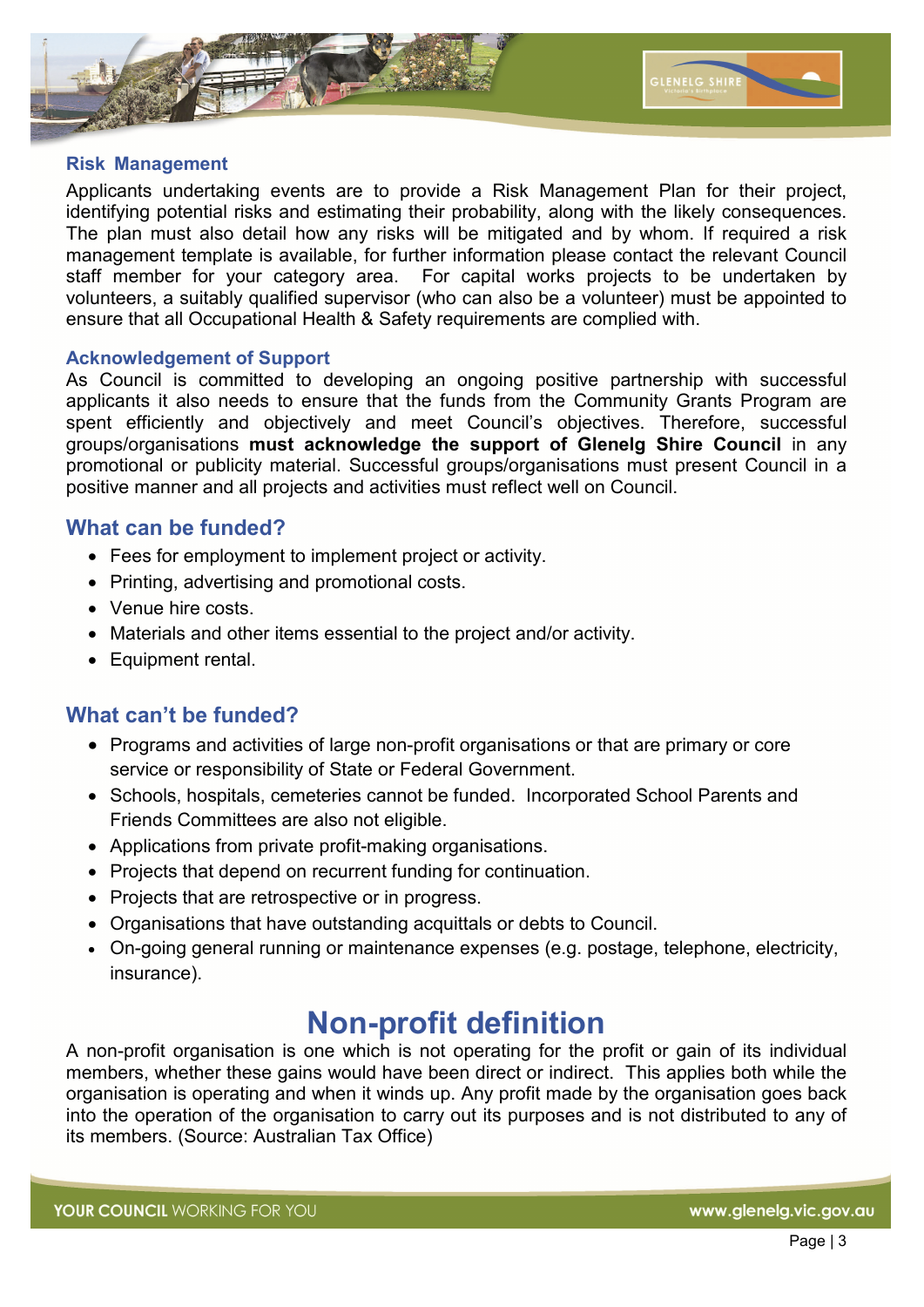

#### **Risk Management**

Applicants undertaking events are to provide a Risk Management Plan for their project, identifying potential risks and estimating their probability, along with the likely consequences. The plan must also detail how any risks will be mitigated and by whom. If required a risk management template is available, for further information please contact the relevant Council staff member for your category area. For capital works projects to be undertaken by volunteers, a suitably qualified supervisor (who can also be a volunteer) must be appointed to ensure that all Occupational Health & Safety requirements are complied with.

#### **Acknowledgement of Support**

As Council is committed to developing an ongoing positive partnership with successful applicants it also needs to ensure that the funds from the Community Grants Program are spent efficiently and objectively and meet Council's objectives. Therefore, successful groups/organisations **must acknowledge the support of Glenelg Shire Council** in any promotional or publicity material. Successful groups/organisations must present Council in a positive manner and all projects and activities must reflect well on Council. İ

### **What can be funded?**

- Fees for employment to implement project or activity.
- Printing, advertising and promotional costs.
- Venue hire costs.
- Materials and other items essential to the project and/or activity.
- Equipment rental.

### **What can't be funded?**

- Programs and activities of large non-profit organisations or that are primary or core service or responsibility of State or Federal Government.
- Schools, hospitals, cemeteries cannot be funded. Incorporated School Parents and Friends Committees are also not eligible.
- Applications from private profit-making organisations.
- Projects that depend on recurrent funding for continuation.
- Projects that are retrospective or in progress.
- Organisations that have outstanding acquittals or debts to Council.
- On-going general running or maintenance expenses (e.g. postage, telephone, electricity, insurance).

### **Non-profit definition**

A non-profit organisation is one which is not operating for the profit or gain of its individual members, whether these gains would have been direct or indirect. This applies both while the organisation is operating and when it winds up. Any profit made by the organisation goes back into the operation of the organisation to carry out its purposes and is not distributed to any of its members. (Source: Australian Tax Office)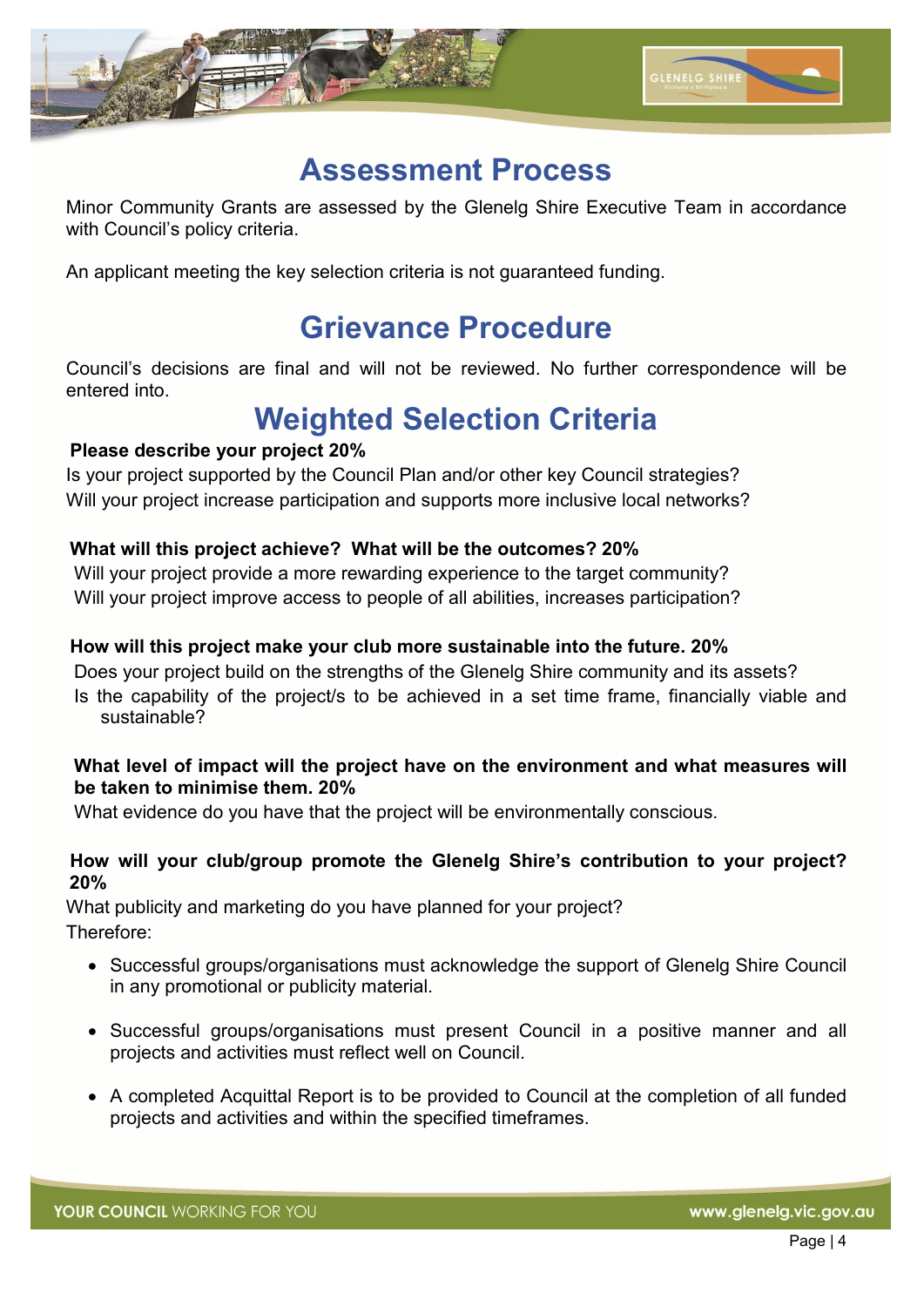

### **Assessment Process**

Minor Community Grants are assessed by the Glenelg Shire Executive Team in accordance with Council's policy criteria.

An applicant meeting the key selection criteria is not guaranteed funding.

### **Grievance Procedure**

Council's decisions are final and will not be reviewed. No further correspondence will be entered into.

### **Weighted Selection Criteria**

### **Please describe your project 20%**

Is your project supported by the Council Plan and/or other key Council strategies? Will your project increase participation and supports more inclusive local networks?

### **What will this project achieve? What will be the outcomes? 20%**

Will your project provide a more rewarding experience to the target community? Will your project improve access to people of all abilities, increases participation?

### **How will this project make your club more sustainable into the future. 20%**

Does your project build on the strengths of the Glenelg Shire community and its assets? Is the capability of the project/s to be achieved in a set time frame, financially viable and sustainable?

#### **What level of impact will the project have on the environment and what measures will be taken to minimise them. 20%**

What evidence do you have that the project will be environmentally conscious.

#### **How will your club/group promote the Glenelg Shire's contribution to your project? 20%**

What publicity and marketing do you have planned for your project? Therefore:

- Successful groups/organisations must acknowledge the support of Glenelg Shire Council in any promotional or publicity material.
- Successful groups/organisations must present Council in a positive manner and all projects and activities must reflect well on Council.
- A completed Acquittal Report is to be provided to Council at the completion of all funded projects and activities and within the specified timeframes.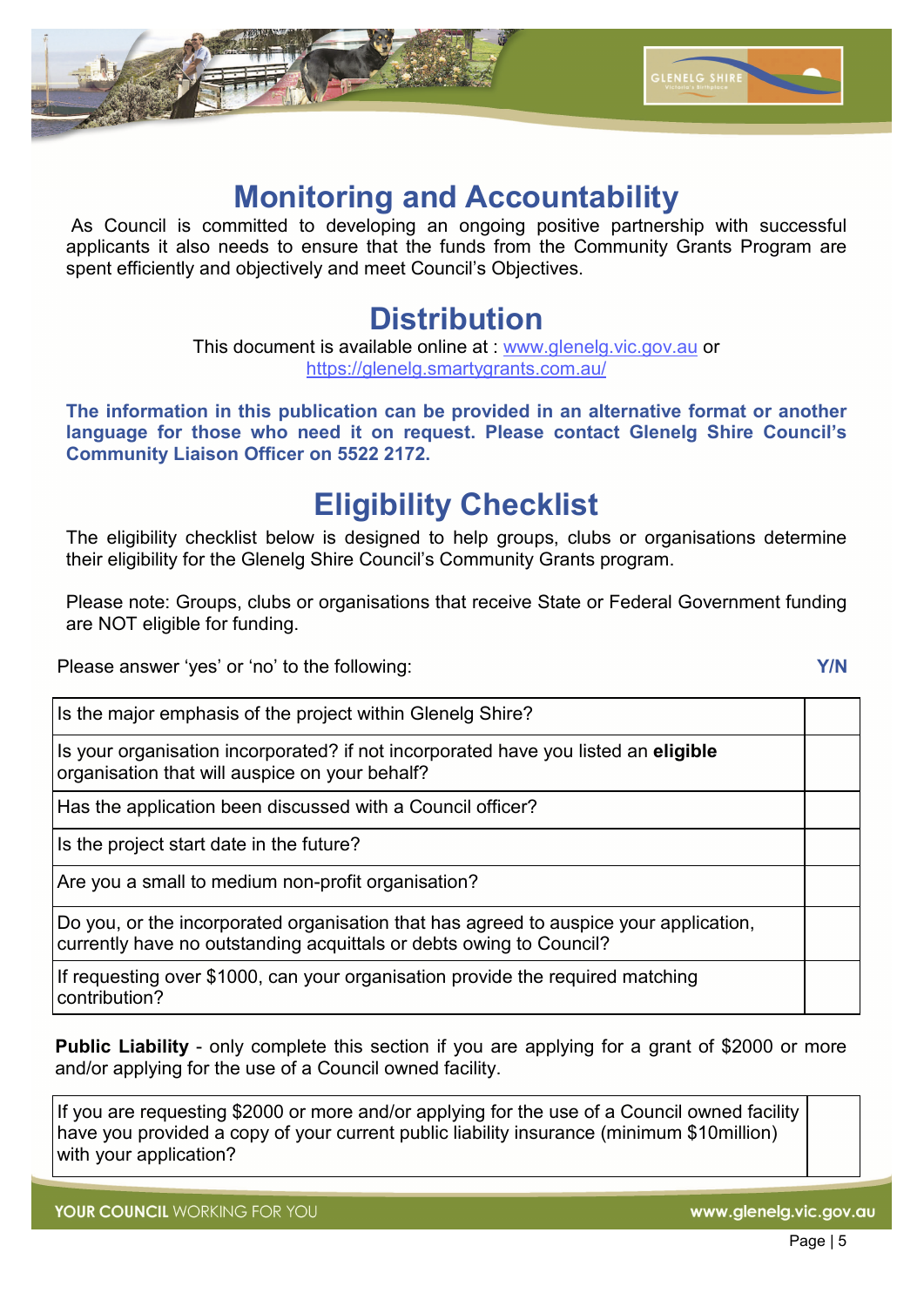

### **Monitoring and Accountability**

As Council is committed to developing an ongoing positive partnership with successful applicants it also needs to ensure that the funds from the Community Grants Program are spent efficiently and objectively and meet Council's Objectives.

### **Distribution**

This document is available online at : www.glenelg.vic.gov.au or https://glenelg.smartygrants.com.au/

**The information in this publication can be provided in an alternative format or another language for those who need it on request. Please contact Glenelg Shire Council's Community Liaison Officer on 5522 2172.** 

# **Eligibility Checklist**

The eligibility checklist below is designed to help groups, clubs or organisations determine their eligibility for the Glenelg Shire Council's Community Grants program.

Please note: Groups, clubs or organisations that receive State or Federal Government funding are NOT eligible for funding.

Please answer 'yes' or 'no' to the following: **Y/N**

Is the major emphasis of the project within Glenelg Shire?

Is your organisation incorporated? if not incorporated have you listed an **eligible** organisation that will auspice on your behalf?

Has the application been discussed with a Council officer?

Is the project start date in the future?

Are you a small to medium non-profit organisation?

Do you, or the incorporated organisation that has agreed to auspice your application, currently have no outstanding acquittals or debts owing to Council?

If requesting over \$1000, can your organisation provide the required matching contribution?

**Public Liability** - only complete this section if you are applying for a grant of \$2000 or more and/or applying for the use of a Council owned facility.

If you are requesting \$2000 or more and/or applying for the use of a Council owned facility have you provided a copy of your current public liability insurance (minimum \$10million) with your application?

YOUR COUNCIL WORKING FOR YOU

www.glenelg.vic.gov.au